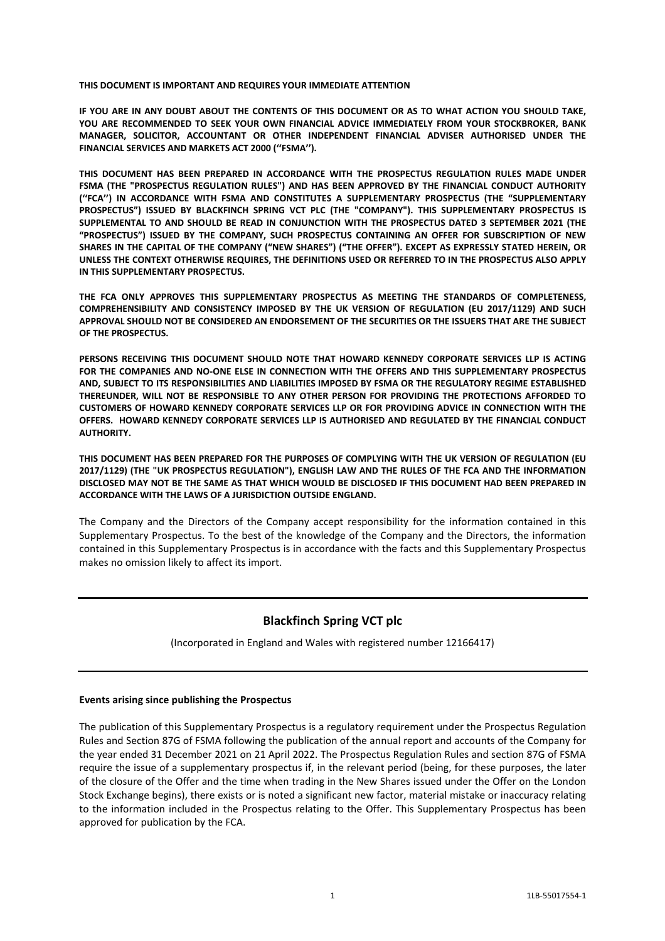#### **THIS DOCUMENT IS IMPORTANT AND REQUIRES YOUR IMMEDIATE ATTENTION**

**IF YOU ARE IN ANY DOUBT ABOUT THE CONTENTS OF THIS DOCUMENT OR AS TO WHAT ACTION YOU SHOULD TAKE, YOU ARE RECOMMENDED TO SEEK YOUR OWN FINANCIAL ADVICE IMMEDIATELY FROM YOUR STOCKBROKER, BANK MANAGER, SOLICITOR, ACCOUNTANT OR OTHER INDEPENDENT FINANCIAL ADVISER AUTHORISED UNDER THE FINANCIAL SERVICES AND MARKETS ACT 2000 (''FSMA'').** 

**THIS DOCUMENT HAS BEEN PREPARED IN ACCORDANCE WITH THE PROSPECTUS REGULATION RULES MADE UNDER FSMA (THE "PROSPECTUS REGULATION RULES") AND HAS BEEN APPROVED BY THE FINANCIAL CONDUCT AUTHORITY (''FCA'') IN ACCORDANCE WITH FSMA AND CONSTITUTES A SUPPLEMENTARY PROSPECTUS (THE "SUPPLEMENTARY PROSPECTUS") ISSUED BY BLACKFINCH SPRING VCT PLC (THE "COMPANY"). THIS SUPPLEMENTARY PROSPECTUS IS SUPPLEMENTAL TO AND SHOULD BE READ IN CONJUNCTION WITH THE PROSPECTUS DATED 3 SEPTEMBER 2021 (THE "PROSPECTUS") ISSUED BY THE COMPANY, SUCH PROSPECTUS CONTAINING AN OFFER FOR SUBSCRIPTION OF NEW SHARES IN THE CAPITAL OF THE COMPANY ("NEW SHARES") ("THE OFFER"). EXCEPT AS EXPRESSLY STATED HEREIN, OR UNLESS THE CONTEXT OTHERWISE REQUIRES, THE DEFINITIONS USED OR REFERRED TO IN THE PROSPECTUS ALSO APPLY IN THIS SUPPLEMENTARY PROSPECTUS.** 

**THE FCA ONLY APPROVES THIS SUPPLEMENTARY PROSPECTUS AS MEETING THE STANDARDS OF COMPLETENESS, COMPREHENSIBILITY AND CONSISTENCY IMPOSED BY THE UK VERSION OF REGULATION (EU 2017/1129) AND SUCH APPROVAL SHOULD NOT BE CONSIDERED AN ENDORSEMENT OF THE SECURITIES OR THE ISSUERS THAT ARE THE SUBJECT OF THE PROSPECTUS.** 

**PERSONS RECEIVING THIS DOCUMENT SHOULD NOTE THAT HOWARD KENNEDY CORPORATE SERVICES LLP IS ACTING FOR THE COMPANIES AND NO-ONE ELSE IN CONNECTION WITH THE OFFERS AND THIS SUPPLEMENTARY PROSPECTUS AND, SUBJECT TO ITS RESPONSIBILITIES AND LIABILITIES IMPOSED BY FSMA OR THE REGULATORY REGIME ESTABLISHED THEREUNDER, WILL NOT BE RESPONSIBLE TO ANY OTHER PERSON FOR PROVIDING THE PROTECTIONS AFFORDED TO CUSTOMERS OF HOWARD KENNEDY CORPORATE SERVICES LLP OR FOR PROVIDING ADVICE IN CONNECTION WITH THE OFFERS. HOWARD KENNEDY CORPORATE SERVICES LLP IS AUTHORISED AND REGULATED BY THE FINANCIAL CONDUCT AUTHORITY.** 

**THIS DOCUMENT HAS BEEN PREPARED FOR THE PURPOSES OF COMPLYING WITH THE UK VERSION OF REGULATION (EU 2017/1129) (THE "UK PROSPECTUS REGULATION"), ENGLISH LAW AND THE RULES OF THE FCA AND THE INFORMATION DISCLOSED MAY NOT BE THE SAME AS THAT WHICH WOULD BE DISCLOSED IF THIS DOCUMENT HAD BEEN PREPARED IN ACCORDANCE WITH THE LAWS OF A JURISDICTION OUTSIDE ENGLAND.** 

The Company and the Directors of the Company accept responsibility for the information contained in this Supplementary Prospectus. To the best of the knowledge of the Company and the Directors, the information contained in this Supplementary Prospectus is in accordance with the facts and this Supplementary Prospectus makes no omission likely to affect its import.

# **Blackfinch Spring VCT plc**

(Incorporated in England and Wales with registered number 12166417)

## **Events arising since publishing the Prospectus**

The publication of this Supplementary Prospectus is a regulatory requirement under the Prospectus Regulation Rules and Section 87G of FSMA following the publication of the annual report and accounts of the Company for the year ended 31 December 2021 on 21 April 2022. The Prospectus Regulation Rules and section 87G of FSMA require the issue of a supplementary prospectus if, in the relevant period (being, for these purposes, the later of the closure of the Offer and the time when trading in the New Shares issued under the Offer on the London Stock Exchange begins), there exists or is noted a significant new factor, material mistake or inaccuracy relating to the information included in the Prospectus relating to the Offer. This Supplementary Prospectus has been approved for publication by the FCA.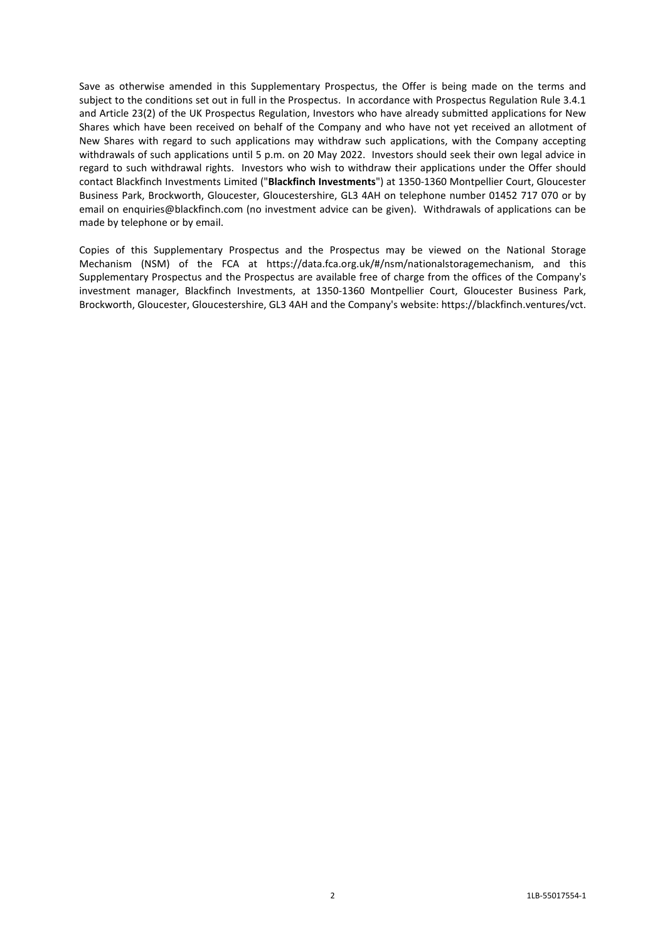Save as otherwise amended in this Supplementary Prospectus, the Offer is being made on the terms and subject to the conditions set out in full in the Prospectus. In accordance with Prospectus Regulation Rule 3.4.1 and Article 23(2) of the UK Prospectus Regulation, Investors who have already submitted applications for New Shares which have been received on behalf of the Company and who have not yet received an allotment of New Shares with regard to such applications may withdraw such applications, with the Company accepting withdrawals of such applications until 5 p.m. on 20 May 2022. Investors should seek their own legal advice in regard to such withdrawal rights. Investors who wish to withdraw their applications under the Offer should contact Blackfinch Investments Limited ("**Blackfinch Investments**") at 1350-1360 Montpellier Court, Gloucester Business Park, Brockworth, Gloucester, Gloucestershire, GL3 4AH on telephone number 01452 717 070 or by email on enquiries@blackfinch.com (no investment advice can be given). Withdrawals of applications can be made by telephone or by email.

Copies of this Supplementary Prospectus and the Prospectus may be viewed on the National Storage Mechanism (NSM) of the FCA at https://data.fca.org.uk/#/nsm/nationalstoragemechanism, and this Supplementary Prospectus and the Prospectus are available free of charge from the offices of the Company's investment manager, Blackfinch Investments, at 1350-1360 Montpellier Court, Gloucester Business Park, Brockworth, Gloucester, Gloucestershire, GL3 4AH and the Company's website: https://blackfinch.ventures/vct.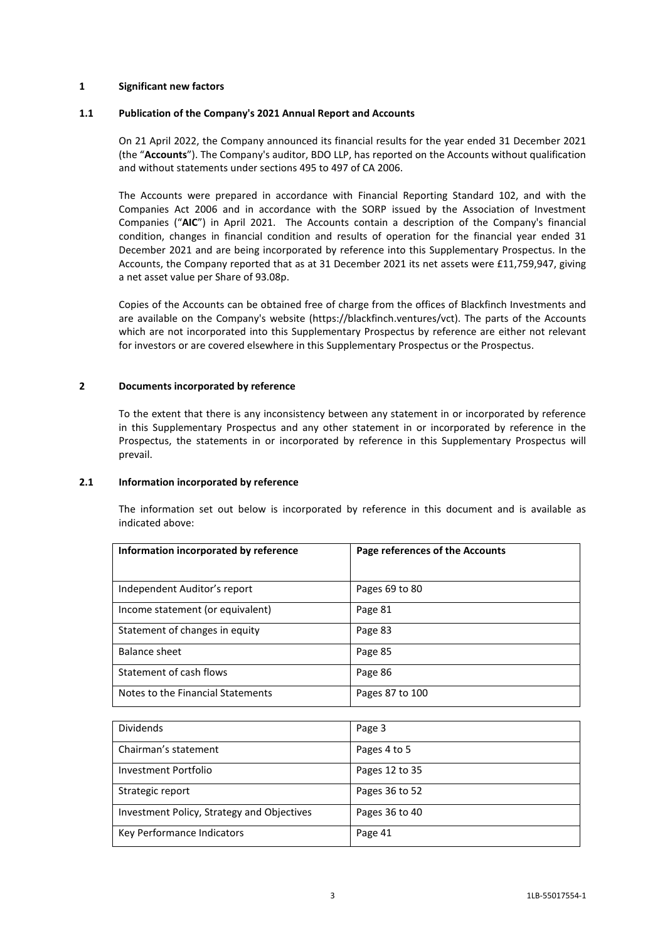#### **1 Significant new factors**

#### **1.1 Publication of the Company's 2021 Annual Report and Accounts**

On 21 April 2022, the Company announced its financial results for the year ended 31 December 2021 (the "**Accounts**"). The Company's auditor, BDO LLP, has reported on the Accounts without qualification and without statements under sections 495 to 497 of CA 2006.

The Accounts were prepared in accordance with Financial Reporting Standard 102, and with the Companies Act 2006 and in accordance with the SORP issued by the Association of Investment Companies ("**AIC**") in April 2021. The Accounts contain a description of the Company's financial condition, changes in financial condition and results of operation for the financial year ended 31 December 2021 and are being incorporated by reference into this Supplementary Prospectus. In the Accounts, the Company reported that as at 31 December 2021 its net assets were £11,759,947, giving a net asset value per Share of 93.08p.

Copies of the Accounts can be obtained free of charge from the offices of Blackfinch Investments and are available on the Company's website (https://blackfinch.ventures/vct). The parts of the Accounts which are not incorporated into this Supplementary Prospectus by reference are either not relevant for investors or are covered elsewhere in this Supplementary Prospectus or the Prospectus.

#### **2 Documents incorporated by reference**

To the extent that there is any inconsistency between any statement in or incorporated by reference in this Supplementary Prospectus and any other statement in or incorporated by reference in the Prospectus, the statements in or incorporated by reference in this Supplementary Prospectus will prevail.

#### **2.1 Information incorporated by reference**

The information set out below is incorporated by reference in this document and is available as indicated above:

| Information incorporated by reference | Page references of the Accounts |
|---------------------------------------|---------------------------------|
|                                       |                                 |
| Independent Auditor's report          | Pages 69 to 80                  |
| Income statement (or equivalent)      | Page 81                         |
| Statement of changes in equity        | Page 83                         |
| Balance sheet                         | Page 85                         |
| Statement of cash flows               | Page 86                         |
| Notes to the Financial Statements     | Pages 87 to 100                 |

| <b>Dividends</b>                           | Page 3         |
|--------------------------------------------|----------------|
| Chairman's statement                       | Pages 4 to 5   |
| Investment Portfolio                       | Pages 12 to 35 |
| Strategic report                           | Pages 36 to 52 |
| Investment Policy, Strategy and Objectives | Pages 36 to 40 |
| Key Performance Indicators                 | Page 41        |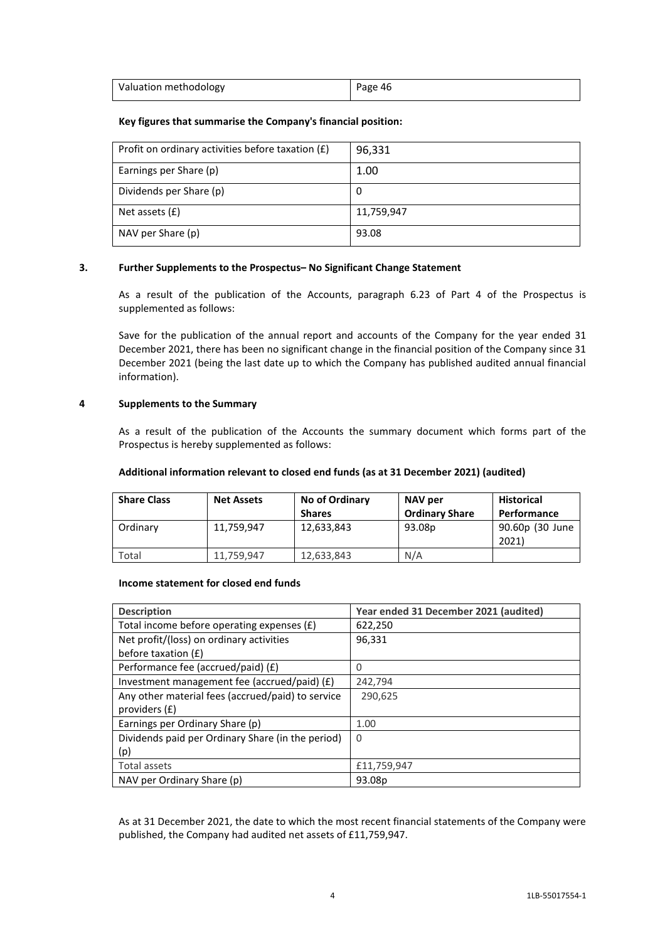| Valuation methodology | Page 46 |
|-----------------------|---------|

## **Key figures that summarise the Company's financial position:**

| Profit on ordinary activities before taxation $(E)$ | 96,331     |
|-----------------------------------------------------|------------|
| Earnings per Share (p)                              | 1.00       |
| Dividends per Share (p)                             | 0          |
| Net assets $(f)$                                    | 11,759,947 |
| NAV per Share (p)                                   | 93.08      |

## **3. Further Supplements to the Prospectus– No Significant Change Statement**

As a result of the publication of the Accounts, paragraph 6.23 of Part 4 of the Prospectus is supplemented as follows:

Save for the publication of the annual report and accounts of the Company for the year ended 31 December 2021, there has been no significant change in the financial position of the Company since 31 December 2021 (being the last date up to which the Company has published audited annual financial information).

## **4 Supplements to the Summary**

As a result of the publication of the Accounts the summary document which forms part of the Prospectus is hereby supplemented as follows:

## **Additional information relevant to closed end funds (as at 31 December 2021) (audited)**

| <b>Share Class</b> | <b>Net Assets</b> | No of Ordinary<br><b>Shares</b> | NAV per<br><b>Ordinary Share</b> | <b>Historical</b><br>Performance |
|--------------------|-------------------|---------------------------------|----------------------------------|----------------------------------|
| Ordinary           | 11,759,947        | 12,633,843                      | 93.08p                           | 90.60p (30 June<br>2021          |
| Total              | 11.759.947        | 12,633,843                      | N/A                              |                                  |

## **Income statement for closed end funds**

| <b>Description</b>                                | Year ended 31 December 2021 (audited) |
|---------------------------------------------------|---------------------------------------|
| Total income before operating expenses (£)        | 622,250                               |
| Net profit/(loss) on ordinary activities          | 96,331                                |
| before taxation (£)                               |                                       |
| Performance fee (accrued/paid) (£)                | 0                                     |
| Investment management fee (accrued/paid) $(f)$    | 242,794                               |
| Any other material fees (accrued/paid) to service | 290,625                               |
| providers (£)                                     |                                       |
| Earnings per Ordinary Share (p)                   | 1.00                                  |
| Dividends paid per Ordinary Share (in the period) | 0                                     |
| (p)                                               |                                       |
| Total assets                                      | £11,759,947                           |
| NAV per Ordinary Share (p)                        | 93.08p                                |

As at 31 December 2021, the date to which the most recent financial statements of the Company were published, the Company had audited net assets of £11,759,947.